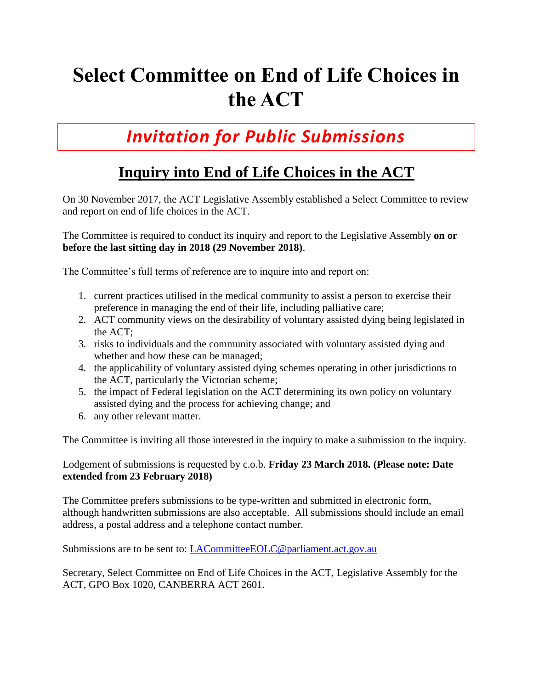## **Select Committee on End of Life Choices in the ACT**

## *Invitation for Public Submissions*

## **Inquiry into End of Life Choices in the ACT**

On 30 November 2017, the ACT Legislative Assembly established a Select Committee to review and report on end of life choices in the ACT.

The Committee is required to conduct its inquiry and report to the Legislative Assembly **on or before the last sitting day in 2018 (29 November 2018)**.

The Committee's full terms of reference are to inquire into and report on:

- 1. current practices utilised in the medical community to assist a person to exercise their preference in managing the end of their life, including palliative care;
- 2. ACT community views on the desirability of voluntary assisted dying being legislated in the ACT;
- 3. risks to individuals and the community associated with voluntary assisted dying and whether and how these can be managed;
- 4. the applicability of voluntary assisted dying schemes operating in other jurisdictions to the ACT, particularly the Victorian scheme;
- 5. the impact of Federal legislation on the ACT determining its own policy on voluntary assisted dying and the process for achieving change; and
- 6. any other relevant matter.

The Committee is inviting all those interested in the inquiry to make a submission to the inquiry.

## Lodgement of submissions is requested by c.o.b. **Friday 23 March 2018. (Please note: Date extended from 23 February 2018)**

The Committee prefers submissions to be type-written and submitted in electronic form, although handwritten submissions are also acceptable. All submissions should include an email address, a postal address and a telephone contact number.

Submissions are to be sent to: [LACommitteeEOLC@parliament.act.gov.au](mailto:LACommitteeEOLC@parliament.act.gov.au)

Secretary, Select Committee on End of Life Choices in the ACT, Legislative Assembly for the ACT, GPO Box 1020, CANBERRA ACT 2601.